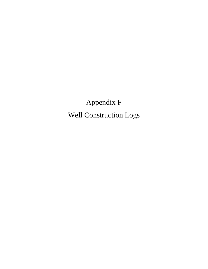Appendix F Well Construction Logs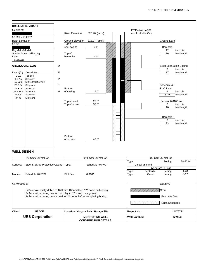|                          | <b>DRILLING SUMMARY</b>                                                         |              |                         |                                                       |                          |                        |                                             |
|--------------------------|---------------------------------------------------------------------------------|--------------|-------------------------|-------------------------------------------------------|--------------------------|------------------------|---------------------------------------------|
| Geologist:               |                                                                                 |              |                         |                                                       | <b>Protective Casing</b> |                        |                                             |
|                          |                                                                                 |              | <b>Riser Elevation</b>  | 320.96' (amsl)                                        | and Lockable Cap         |                        |                                             |
| <b>Drilling Company:</b> |                                                                                 |              |                         |                                                       |                          |                        |                                             |
| Boart Longyear           |                                                                                 |              | <b>Ground Elevation</b> | 318.07' (amsl)                                        |                          | <b>Ground Level</b>    |                                             |
| Driller:                 |                                                                                 |              | Top of                  | 2.0'                                                  |                          | Borehole               |                                             |
| Rig Make/Model:          |                                                                                 |              | sep. casing             |                                                       |                          | 12                     | inch dia.                                   |
|                          | Spyder Sonic drilling rig                                                       |              | Top of                  |                                                       |                          | 16                     | feet length                                 |
| Date:                    |                                                                                 |              | bentonite               | 4.0'                                                  |                          |                        |                                             |
| 11/18/2012               |                                                                                 |              |                         |                                                       |                          |                        |                                             |
|                          | <b>GEOLOGIC LOG</b>                                                             | D            |                         |                                                       |                          | 8                      | <b>Steel Separation Casing</b><br>inch dia. |
| Depth(ft.)               | Description                                                                     | E            |                         |                                                       |                          | 17                     | feet length                                 |
| $0 - 0.3$                | Top soil                                                                        |              |                         |                                                       |                          |                        |                                             |
| $0.3 - 15$               | Silty clay                                                                      | $\mathsf{P}$ |                         |                                                       |                          |                        |                                             |
| 15-22.6                  | Silty clay/clayey silt                                                          | T            |                         |                                                       |                          | Schedule 40            |                                             |
| 22.6-24<br>24-32.5       | Silty sand<br>Silty clay                                                        |              | <b>Bottom</b>           |                                                       |                          | <b>PVC Riser</b>       |                                             |
| 32.5-34.5                | Silty sand                                                                      | H            | of casing               | 17.0'                                                 |                          | $\overline{2}$         | inch dia.                                   |
| 34.5-37                  | Silty clay                                                                      |              |                         |                                                       |                          | 32.9                   | feet length                                 |
| 37-40                    | Silty sand                                                                      |              |                         |                                                       |                          |                        |                                             |
|                          |                                                                                 |              | Top of sand             | 28.0'                                                 |                          |                        | Screen, 0.010" slot.                        |
|                          |                                                                                 |              | Top of screen           | 30.0'                                                 |                          | $\overline{2}$<br>10   | inch dia.<br>feet length                    |
|                          |                                                                                 |              |                         |                                                       |                          |                        |                                             |
|                          |                                                                                 |              |                         |                                                       |                          |                        |                                             |
|                          |                                                                                 |              |                         |                                                       |                          | Borehole               |                                             |
|                          |                                                                                 |              |                         |                                                       |                          | 6                      | inch dia.                                   |
|                          |                                                                                 |              |                         |                                                       |                          | 23                     | feet length                                 |
|                          |                                                                                 |              |                         |                                                       |                          |                        |                                             |
|                          |                                                                                 |              |                         |                                                       |                          |                        |                                             |
|                          |                                                                                 |              | <b>Bottom</b>           |                                                       |                          |                        |                                             |
|                          |                                                                                 |              | of screen               | 40.0'                                                 |                          |                        |                                             |
|                          |                                                                                 |              |                         |                                                       |                          |                        |                                             |
|                          |                                                                                 |              |                         |                                                       |                          |                        |                                             |
| <b>WELL DESIGN</b>       |                                                                                 |              |                         |                                                       |                          |                        |                                             |
|                          |                                                                                 |              |                         |                                                       |                          |                        |                                             |
|                          | <b>CASING MATERIAL</b>                                                          |              |                         | <b>SCREEN MATERIAL</b>                                |                          | <b>FILTER MATERIAL</b> |                                             |
| Surface:                 | Steel Stick-up Protective Casing                                                |              |                         | Schedule 40 PVC                                       | Type:<br>Global #5 sand  | Setting:               | 28-40.0                                     |
|                          |                                                                                 |              | Type:                   |                                                       |                          | <b>SEAL MATERIAL</b>   |                                             |
|                          |                                                                                 |              |                         |                                                       | Type:                    | Bentonite<br>Setting:  | $4 - 28'$                                   |
| Monitor:                 | Schedule 40 PVC                                                                 |              | Slot Size:              | 0.010"                                                | Type:                    | Grout<br>Setting:      | $0 - 17'$                                   |
|                          |                                                                                 |              |                         |                                                       |                          |                        |                                             |
| <b>COMMENTS:</b>         |                                                                                 |              |                         |                                                       |                          |                        |                                             |
|                          |                                                                                 |              |                         |                                                       |                          | <b>LEGEND</b>          |                                             |
|                          | 1) Borehole intially drilled to 16 ft with 10" and then 12" Sonic drill casing. |              |                         |                                                       |                          | Grout                  |                                             |
|                          | 2) Separation casing pushed into clay to 17 ft and then grouted.                |              |                         |                                                       |                          |                        |                                             |
|                          | 3) Separation casing grout cured for 24 hours before completing boring.         |              |                         |                                                       |                          | <b>Bentonite Seal</b>  |                                             |
|                          |                                                                                 |              |                         |                                                       |                          |                        |                                             |
|                          |                                                                                 |              |                         |                                                       |                          |                        | Silica Sandpack                             |
| <b>Client:</b>           | <b>USACE</b>                                                                    |              |                         | <b>Location: Niagara Falls Storage Site</b>           | <b>Project No.:</b>      |                        | 11176781                                    |
|                          | <b>URS Corporation</b>                                                          |              |                         | <b>MONITORING WELL</b><br><b>CONSTRUCTION DETAILS</b> | <b>Well Number:</b>      |                        | <b>MW949</b>                                |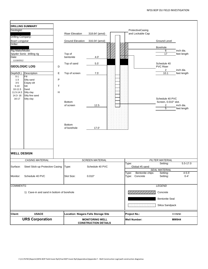|                          | <b>DRILLING SUMMARY</b>                   |             |                                             |                                                       |                     |                             |                                        |                          |
|--------------------------|-------------------------------------------|-------------|---------------------------------------------|-------------------------------------------------------|---------------------|-----------------------------|----------------------------------------|--------------------------|
| Geologist:               |                                           |             |                                             |                                                       |                     | ProtectiveCasing            |                                        |                          |
| <b>Drilling Company:</b> |                                           |             | <b>Riser Elevation</b>                      | 318.64' (amsl)                                        |                     | and Lockable Cap            |                                        |                          |
| Boart Longyear           |                                           |             | <b>Ground Elevation</b>                     | 316.04' (amsl)                                        |                     |                             | <b>Ground Level</b>                    |                          |
| Driller:                 |                                           |             |                                             |                                                       |                     |                             | Borehole                               |                          |
| Rig Make/Model:          |                                           |             |                                             |                                                       |                     |                             | 6                                      | inch dia.                |
| Date:                    | Spyder Sonic drilling rig                 |             | Top of<br>bentonite                         | 4.0'                                                  |                     |                             | 17                                     | feet length              |
| 11/18/2012               |                                           |             |                                             |                                                       |                     |                             |                                        |                          |
|                          | <b>GEOLOGIC LOG</b>                       | D           | Top of sand                                 | $5.5'$                                                |                     |                             | Schedule 40<br><b>PVC Riser</b>        |                          |
| Depth(ft.)               | Description                               | $\mathsf E$ | Top of screen                               | 7.5'                                                  |                     |                             | $\overline{2}$<br>10.1                 | inch dia.<br>feet length |
| $0 - 1$                  | Fill                                      |             |                                             |                                                       |                     |                             |                                        |                          |
| $1 - 3$<br>$3-5$         | Silty sand<br>Clayey silt                 | $\sf P$     |                                             |                                                       |                     |                             |                                        |                          |
| $5 - 10$                 | Silt                                      | $\top$      |                                             |                                                       |                     |                             |                                        |                          |
| 10-11.5<br>11.5-14.3     | Sand<br>Silty clay                        | H           |                                             |                                                       |                     |                             |                                        |                          |
| 14.3-16                  | Silty fine sand                           |             |                                             |                                                       |                     |                             |                                        |                          |
| $16-17$                  | Silty clay                                |             |                                             |                                                       |                     |                             | Schedule 40 PVC                        |                          |
|                          |                                           |             | <b>Bottom</b><br>of screen                  | 12.5                                                  |                     |                             | Screen, 0.010" slot.<br>$\overline{c}$ | inch dia.                |
|                          |                                           |             |                                             |                                                       |                     |                             | $\overline{5}$                         | feet length              |
|                          |                                           |             |                                             |                                                       |                     |                             |                                        |                          |
|                          |                                           |             |                                             |                                                       |                     |                             |                                        |                          |
|                          |                                           |             |                                             |                                                       |                     |                             |                                        |                          |
|                          |                                           |             | <b>Bottom</b><br>of borehole                | 17.0'                                                 |                     |                             |                                        |                          |
|                          |                                           |             |                                             |                                                       |                     |                             |                                        |                          |
|                          |                                           |             |                                             |                                                       |                     |                             |                                        |                          |
|                          |                                           |             |                                             |                                                       |                     |                             |                                        |                          |
|                          |                                           |             |                                             |                                                       |                     |                             |                                        |                          |
|                          |                                           |             |                                             |                                                       |                     |                             |                                        |                          |
| <b>WELL DESIGN</b>       |                                           |             |                                             |                                                       |                     |                             |                                        |                          |
|                          | <b>CASING MATERIAL</b>                    |             |                                             | <b>SCREEN MATERIAL</b>                                | Type:               |                             | <b>FILTER MATERIAL</b><br>Setting:     | $5.5 - 17.0$             |
| Surface:                 | Steel Stick-up Protective Casing          |             | Type:                                       | Schedule 40 PVC                                       |                     | Global #5 sand              |                                        |                          |
|                          |                                           |             |                                             |                                                       |                     |                             | <b>SEAL MATERIAL</b>                   |                          |
| Monitor:                 | Schedule 40 PVC                           |             | Slot Size:                                  | 0.010"                                                | Type:<br>Type:      | Bentonite chips<br>Concrete | Setting:<br>Setting:                   | $4 - 5.5'$<br>$0 - 4'$   |
|                          |                                           |             |                                             |                                                       |                     |                             |                                        |                          |
| <b>COMMENTS:</b>         |                                           |             |                                             |                                                       |                     |                             | <b>LEGEND</b>                          |                          |
|                          |                                           |             |                                             |                                                       |                     |                             |                                        |                          |
|                          | 1) Cave-in and sand in bottom of borehole |             |                                             |                                                       |                     |                             | Concrete                               |                          |
|                          |                                           |             |                                             |                                                       |                     |                             | <b>Bentonite Seal</b>                  |                          |
|                          |                                           |             |                                             |                                                       |                     |                             | Silica Sandpack                        |                          |
| <b>Client:</b>           | <b>USACE</b>                              |             | <b>Location: Niagara Falls Storage Site</b> |                                                       |                     |                             |                                        |                          |
|                          |                                           |             |                                             |                                                       | <b>Project No.:</b> |                             |                                        | 11176781                 |
|                          | <b>URS Corporation</b>                    |             |                                             | <b>MONITORING WELL</b><br><b>CONSTRUCTION DETAILS</b> |                     | <b>Well Number:</b>         |                                        | <b>MW944</b>             |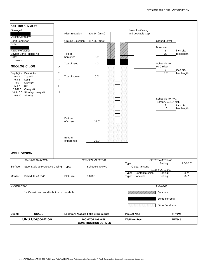|                    | <b>DRILLING SUMMARY</b>                   |             |                                             |                             |                     |                                      |                                        |                          |
|--------------------|-------------------------------------------|-------------|---------------------------------------------|-----------------------------|---------------------|--------------------------------------|----------------------------------------|--------------------------|
| Geologist:         |                                           |             | <b>Riser Elevation</b>                      | 320.24' (amsl)              |                     | ProtectiveCasing<br>and Lockable Cap |                                        |                          |
| Drilling Company:  |                                           |             |                                             |                             |                     |                                      |                                        |                          |
| Boart Longyear     |                                           |             | <b>Ground Elevation</b>                     | 317.55' (amsl)              |                     |                                      | <b>Ground Level</b>                    |                          |
| Driller:           |                                           |             |                                             |                             |                     |                                      |                                        |                          |
| Rig Make/Model:    |                                           |             |                                             |                             |                     |                                      | Borehole<br>6                          | inch dia.                |
|                    | Spyder Sonic drilling rig                 |             | Top of                                      |                             |                     |                                      | $\overline{20}$                        | feet length              |
| Date:              |                                           |             | bentonite                                   | 3.0'                        |                     |                                      |                                        |                          |
| 11/18/2012         |                                           |             |                                             |                             |                     |                                      |                                        |                          |
|                    | <b>GEOLOGIC LOG</b>                       | D           | Top of sand                                 | 4.0'                        |                     |                                      | Schedule 40<br><b>PVC Riser</b>        |                          |
| Depth(ft.)         | Description                               | E           |                                             |                             |                     |                                      | $\overline{2}$<br>8.7                  | inch dia.<br>feet length |
| $0 - 0.3$          | Top soil                                  |             | Top of screen                               | 6.0'                        |                     |                                      |                                        |                          |
| $0.3 - 3$          | Sand                                      | P           |                                             |                             |                     |                                      |                                        |                          |
| $3-5$<br>$5 - 8.7$ | Silty clay                                | $\mathsf T$ |                                             |                             |                     |                                      |                                        |                          |
| $8.7 - 10.5$       | Silt<br>Clayey silt                       |             |                                             |                             |                     |                                      |                                        |                          |
| 10.5-15.5          | Silty clay/ clayey silt                   | H           |                                             |                             |                     |                                      |                                        |                          |
| 15.5-20            | Silty clay                                |             |                                             |                             |                     |                                      |                                        |                          |
|                    |                                           |             |                                             |                             |                     |                                      | Schedule 40 PVC                        |                          |
|                    |                                           |             |                                             |                             |                     |                                      | Screen, 0.010" slot.<br>$\overline{2}$ | inch dia.                |
|                    |                                           |             |                                             |                             |                     |                                      | 10                                     | feet length              |
|                    |                                           |             |                                             |                             |                     |                                      |                                        |                          |
|                    |                                           |             |                                             |                             |                     |                                      |                                        |                          |
|                    |                                           |             | <b>Bottom</b>                               |                             |                     |                                      |                                        |                          |
|                    |                                           |             | of screen                                   | 16.0'                       |                     |                                      |                                        |                          |
|                    |                                           |             |                                             |                             |                     |                                      |                                        |                          |
|                    |                                           |             |                                             |                             |                     |                                      |                                        |                          |
|                    |                                           |             |                                             |                             |                     |                                      |                                        |                          |
|                    |                                           |             | <b>Bottom</b><br>of borehole                | 20.0'                       |                     |                                      |                                        |                          |
|                    |                                           |             |                                             |                             |                     |                                      |                                        |                          |
|                    |                                           |             |                                             |                             |                     |                                      |                                        |                          |
| <b>WELL DESIGN</b> |                                           |             |                                             |                             |                     |                                      |                                        |                          |
|                    | <b>CASING MATERIAL</b>                    |             |                                             | <b>SCREEN MATERIAL</b>      | Type:               |                                      | <b>FILTER MATERIAL</b><br>Setting:     | $4.0 - 20.0$             |
| Surface:           | Steel Stick-up Protective Casing          |             | Type:                                       | Schedule 40 PVC             |                     | Global #5 sand                       |                                        |                          |
|                    |                                           |             |                                             |                             |                     |                                      | <b>SEAL MATERIAL</b>                   |                          |
|                    |                                           |             |                                             |                             | Type:               | Bentonite chips                      | Setting:                               | $3 - 4'$                 |
| Monitor:           | Schedule 40 PVC                           |             | Slot Size:                                  | 0.010"                      | Type:               | Concrete                             | Setting:                               | $0 - 3'$                 |
| <b>COMMENTS:</b>   |                                           |             |                                             |                             |                     |                                      | <b>LEGEND</b>                          |                          |
|                    |                                           |             |                                             |                             |                     |                                      |                                        |                          |
|                    | 1) Cave-in and sand in bottom of borehole |             |                                             |                             |                     |                                      | Concrete                               |                          |
|                    |                                           |             |                                             |                             |                     |                                      | <b>Bentonite Seal</b>                  |                          |
|                    |                                           |             |                                             |                             |                     |                                      | Silica Sandpack                        |                          |
| <b>Client:</b>     | <b>USACE</b>                              |             | <b>Location: Niagara Falls Storage Site</b> |                             | <b>Project No.:</b> |                                      |                                        | 11176781                 |
|                    | <b>URS Corporation</b>                    |             |                                             | <b>MONITORING WELL</b>      |                     | <b>Well Number:</b>                  |                                        | <b>MW945</b>             |
|                    |                                           |             |                                             | <b>CONSTRUCTION DETAILS</b> |                     |                                      |                                        |                          |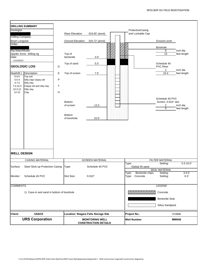| Geologist:<br>Drilling Company:<br><b>Boart Longyear</b><br>Driller:<br>Rig Make/Model:<br>Date:<br>11/14/2012<br>Depth(ft.)<br>$0 - 0.5$<br>$0.5 - 4$<br>$4 - 7.5$<br>$7.5 - 10.3$ | <b>DRILLING SUMMARY</b><br>Spyder Sonic drilling rig<br><b>GEOLOGIC LOG</b><br>D<br>$\mathsf E$<br>Description<br>Top soil<br>${\sf P}$<br>Silty clay/ clayey silt<br>Silty clay<br>$\top$<br>Clayey silt and silty clay | <b>Riser Elevation</b><br><b>Ground Elevation</b><br>Top of<br>bentonite<br>Top of sand<br>Top of screen | 319.65' (amsl)<br>316.72' (amsl)<br>3.0'<br>5.5'<br>7.5' | ProtectiveCasing<br>and Lockable Cap                                     | <b>Ground Level</b><br>Borehole<br>6<br>15<br>Schedule 40<br><b>PVC Riser</b><br>$\overline{2}$<br>10.4 | inch dia.<br>feet length<br>inch dia.<br>feet length |
|-------------------------------------------------------------------------------------------------------------------------------------------------------------------------------------|--------------------------------------------------------------------------------------------------------------------------------------------------------------------------------------------------------------------------|----------------------------------------------------------------------------------------------------------|----------------------------------------------------------|--------------------------------------------------------------------------|---------------------------------------------------------------------------------------------------------|------------------------------------------------------|
| $10.3 - 12$<br>$12 - 15$<br><b>WELL DESIGN</b>                                                                                                                                      | Silty clay<br>$\boldsymbol{\mathsf{H}}$<br>Clay                                                                                                                                                                          | <b>Bottom</b><br>of screen<br><b>Bottom</b><br>of borehole                                               | 12.5<br>15.0'                                            |                                                                          | Schedule 40 PVC<br>Screen, 0.010" slot.<br>$\overline{c}$<br>$\overline{5}$                             | inch dia.<br>feet length                             |
|                                                                                                                                                                                     | <b>CASING MATERIAL</b>                                                                                                                                                                                                   |                                                                                                          | <b>SCREEN MATERIAL</b>                                   |                                                                          | <b>FILTER MATERIAL</b><br>Setting:                                                                      | $5.5 - 15.0$                                         |
| Surface:<br>Monitor:                                                                                                                                                                | Steel Stick-up Protective Casing<br>Schedule 40 PVC                                                                                                                                                                      | Type:<br>Slot Size:                                                                                      | Schedule 40 PVC<br>0.010"                                | Type:<br>Global #5 sand<br>Bentonite chips<br>Type:<br>Concrete<br>Type: | <b>SEAL MATERIAL</b><br>Setting:<br>Setting:                                                            | $3 - 5.5'$<br>$0 - 3'$                               |
| <b>COMMENTS:</b>                                                                                                                                                                    | 1) Cave-in and sand in bottom of borehole                                                                                                                                                                                |                                                                                                          |                                                          |                                                                          | <b>LEGEND</b><br>Concrete<br><b>Bentonite Seal</b><br>Silica Sandpack                                   |                                                      |
| <b>Client:</b>                                                                                                                                                                      | <b>USACE</b>                                                                                                                                                                                                             |                                                                                                          | <b>Location: Niagara Falls Storage Site</b>              | <b>Project No.:</b>                                                      | 11176781                                                                                                |                                                      |
|                                                                                                                                                                                     | <b>URS Corporation</b>                                                                                                                                                                                                   |                                                                                                          | <b>MONITORING WELL</b><br><b>CONSTRUCTION DETAILS</b>    | <b>Well Number:</b>                                                      | <b>MW946</b>                                                                                            |                                                      |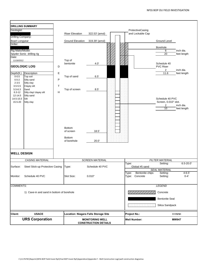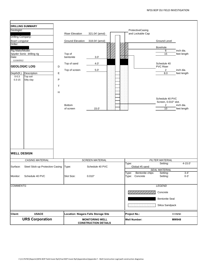| Geologist:<br><b>Drilling Company:</b><br>Boart Longyear<br>Driller:<br>Rig Make/Model:<br>Date:<br>11/16/2012<br>Depth(ft.)<br>$0 - 0.3$<br>$0.3 - 15$ | <b>DRILLING SUMMARY</b><br>Spyder Sonic drilling rig<br><b>GEOLOGIC LOG</b><br>D<br>Description<br>E<br>Top soil<br>P<br>Silty clay<br>T<br>H | <b>Riser Elevation</b><br><b>Ground Elevation</b><br>Top of<br>bentonite<br>Top of sand<br>Top of screen<br><b>Bottom</b><br>of screen | 321.04' (amsl)<br>318.04' (amsl)<br>3.0'<br>4.0'<br>$5.0^\circ$<br>15.0' | ProtectiveCasing<br>and Lockable Cap          | <b>Ground Level</b><br>Borehole<br>6<br>$\overline{15}$<br>Schedule 40<br><b>PVC Riser</b><br>$\overline{2}$<br>8.0<br>Schedule 40 PVC<br>Screen, 0.010" slot.<br>$\overline{2}$<br>10 | inch dia.<br>feet length<br>inch dia.<br>feet length<br>inch dia.<br>feet length |
|---------------------------------------------------------------------------------------------------------------------------------------------------------|-----------------------------------------------------------------------------------------------------------------------------------------------|----------------------------------------------------------------------------------------------------------------------------------------|--------------------------------------------------------------------------|-----------------------------------------------|----------------------------------------------------------------------------------------------------------------------------------------------------------------------------------------|----------------------------------------------------------------------------------|
| <b>WELL DESIGN</b>                                                                                                                                      |                                                                                                                                               |                                                                                                                                        |                                                                          |                                               |                                                                                                                                                                                        |                                                                                  |
|                                                                                                                                                         | <b>CASING MATERIAL</b>                                                                                                                        |                                                                                                                                        | <b>SCREEN MATERIAL</b>                                                   |                                               | <b>FILTER MATERIAL</b>                                                                                                                                                                 |                                                                                  |
| Surface:                                                                                                                                                | Steel Stick-up Protective Casing                                                                                                              | Type:                                                                                                                                  | Schedule 40 PVC                                                          | Type:<br>Global #5 sand                       | Setting:<br><b>SEAL MATERIAL</b>                                                                                                                                                       | $4 - 15.0'$                                                                      |
| Monitor:                                                                                                                                                | Schedule 40 PVC                                                                                                                               | Slot Size:                                                                                                                             | 0.010"                                                                   | Bentonite chips<br>Type:<br>Concrete<br>Type: | Setting:<br>Setting:                                                                                                                                                                   | $3 - 4'$<br>$0 - 3'$                                                             |
| <b>COMMENTS:</b>                                                                                                                                        |                                                                                                                                               |                                                                                                                                        |                                                                          |                                               | <b>LEGEND</b>                                                                                                                                                                          |                                                                                  |
|                                                                                                                                                         |                                                                                                                                               |                                                                                                                                        |                                                                          | <b>De Telle College (197</b>                  | Concrete<br><b>Bentonite Seal</b><br>Silica Sandpack                                                                                                                                   |                                                                                  |
| <b>Client:</b>                                                                                                                                          | <b>USACE</b>                                                                                                                                  |                                                                                                                                        | <b>Location: Niagara Falls Storage Site</b>                              | <b>Project No.:</b>                           |                                                                                                                                                                                        | 11176781                                                                         |
|                                                                                                                                                         | <b>URS Corporation</b>                                                                                                                        |                                                                                                                                        | <b>MONITORING WELL</b><br><b>CONSTRUCTION DETAILS</b>                    | <b>Well Number:</b>                           |                                                                                                                                                                                        | <b>MW948</b>                                                                     |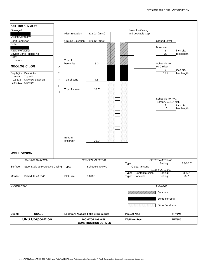|                            | <b>DRILLING SUMMARY</b>          |             |                                             |                                                       |    |                     |                         |                                    |                          |
|----------------------------|----------------------------------|-------------|---------------------------------------------|-------------------------------------------------------|----|---------------------|-------------------------|------------------------------------|--------------------------|
| Geologist:                 |                                  |             |                                             |                                                       |    |                     | ProtectiveCasing        |                                    |                          |
|                            |                                  |             | <b>Riser Elevation</b>                      | 322.03' (amsl)                                        |    |                     | and Lockable Cap        |                                    |                          |
| Drilling Company:          |                                  |             |                                             |                                                       |    |                     |                         |                                    |                          |
| Boart Longyear<br>Driller: |                                  |             | <b>Ground Elevation</b>                     | 319.12' (amsl)                                        |    |                     |                         | <b>Ground Level</b>                |                          |
|                            |                                  |             |                                             |                                                       |    |                     |                         | Borehole                           |                          |
| Rig Make/Model:            |                                  |             |                                             |                                                       |    |                     |                         | 6                                  | inch dia.                |
|                            | Spyder Sonic drilling rig        |             |                                             |                                                       |    |                     |                         | $\overline{20}$                    | feet length              |
| Date:                      |                                  |             |                                             |                                                       |    |                     |                         |                                    |                          |
| 11/11/2012                 |                                  |             | Top of<br>bentonite                         | 3.0'                                                  |    |                     |                         | Schedule 40                        |                          |
|                            | <b>GEOLOGIC LOG</b>              | D           |                                             |                                                       |    |                     |                         | <b>PVC Riser</b><br>$\overline{2}$ | inch dia.                |
| Depth(ft.)                 | Description                      | E           |                                             |                                                       |    |                     |                         | 12.9                               | feet length              |
| $0 - 0.5$                  | Top soil                         |             |                                             |                                                       |    |                     |                         |                                    |                          |
| $0.5 - 13.5$               | Silty clay/ clayey silt          | P           | Top of sand                                 | 7.8'                                                  |    |                     |                         |                                    |                          |
| 13.5-20.0                  | Silty clay                       |             |                                             |                                                       |    |                     |                         |                                    |                          |
|                            |                                  | $\mathsf T$ | Top of screen                               | 10.0'                                                 |    |                     |                         |                                    |                          |
|                            |                                  | Н           |                                             |                                                       |    |                     |                         |                                    |                          |
|                            |                                  |             |                                             |                                                       |    |                     |                         |                                    |                          |
|                            |                                  |             |                                             |                                                       |    |                     |                         | Schedule 40 PVC                    |                          |
|                            |                                  |             |                                             |                                                       |    |                     |                         | Screen, 0.010" slot.               |                          |
|                            |                                  |             |                                             |                                                       |    |                     |                         | $\overline{2}$<br>10               | inch dia.<br>feet length |
|                            |                                  |             |                                             |                                                       |    |                     |                         |                                    |                          |
|                            |                                  |             |                                             |                                                       |    |                     |                         |                                    |                          |
|                            |                                  |             |                                             |                                                       |    |                     |                         |                                    |                          |
|                            |                                  |             |                                             |                                                       |    |                     |                         |                                    |                          |
|                            |                                  |             |                                             |                                                       |    |                     |                         |                                    |                          |
|                            |                                  |             |                                             |                                                       |    |                     |                         |                                    |                          |
|                            |                                  |             |                                             |                                                       |    |                     |                         |                                    |                          |
|                            |                                  |             | Bottom                                      |                                                       |    |                     |                         |                                    |                          |
|                            |                                  |             | of screen                                   | 20.0'                                                 | 88 |                     |                         |                                    |                          |
|                            |                                  |             |                                             |                                                       |    |                     |                         |                                    |                          |
| <b>WELL DESIGN</b>         |                                  |             |                                             |                                                       |    |                     |                         |                                    |                          |
|                            | <b>CASING MATERIAL</b>           |             |                                             | <b>SCREEN MATERIAL</b>                                |    |                     |                         | <b>FILTER MATERIAL</b>             |                          |
|                            |                                  |             |                                             |                                                       |    | Type:               |                         | Setting:                           | $7.8 - 20.0$             |
| Surface:                   | Steel Stick-up Protective Casing |             | Type:                                       | Schedule 40 PVC                                       |    |                     | Global #5 sand          |                                    |                          |
|                            |                                  |             |                                             |                                                       |    |                     |                         | <b>SEAL MATERIAL</b>               |                          |
|                            |                                  |             |                                             |                                                       |    | Type:               | Bentonite chips         | Setting:                           | $3 - 7.8'$               |
| Monitor:                   | Schedule 40 PVC                  |             | Slot Size:                                  | 0.010"                                                |    | Type:               | Concrete                | Setting:                           | $0 - 3'$                 |
|                            |                                  |             |                                             |                                                       |    |                     |                         |                                    |                          |
| <b>COMMENTS:</b>           |                                  |             |                                             |                                                       |    |                     |                         | <b>LEGEND</b>                      |                          |
|                            |                                  |             |                                             |                                                       |    |                     |                         | Concrete                           |                          |
|                            |                                  |             |                                             |                                                       |    |                     |                         | <b>Bentonite Seal</b>              |                          |
|                            |                                  |             |                                             |                                                       |    |                     | in la la la la la la la | Silica Sandpack                    |                          |
|                            |                                  |             |                                             |                                                       |    |                     |                         |                                    |                          |
| <b>Client:</b>             | <b>USACE</b>                     |             | <b>Location: Niagara Falls Storage Site</b> |                                                       |    | <b>Project No.:</b> |                         |                                    | 11176781                 |
|                            | <b>URS Corporation</b>           |             |                                             | <b>MONITORING WELL</b><br><b>CONSTRUCTION DETAILS</b> |    | <b>Well Number:</b> |                         |                                    | <b>MW950</b>             |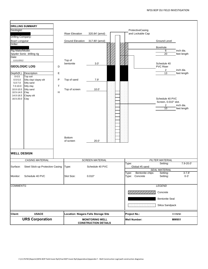| <b>DRILLING SUMMARY</b><br>Geologist:<br>Drilling Company:<br><b>Boart Longyear</b><br>Driller:<br>Rig Make/Model:<br>Spyder Sonic drilling rig<br>Date:<br>11/11/2012<br><b>GEOLOGIC LOG</b><br>Depth(ft.)<br>Description<br>$0 - 0.5$<br>Top soil<br>$0.5 - 5.0$<br>$5.0 - 7.0$<br>Silty sand<br>$7.0 - 10.0$<br>Silty clay<br>10.0-10.5<br>Silty sand<br>10.5-14.0<br>Clay<br>14.0-16.5<br>Clayey silt<br>16.5-20.0<br>Clay | D<br>E<br>P<br>Silty clay/ clayey silt<br>$\mathsf T$<br>Н | <b>Riser Elevation</b><br><b>Ground Elevation</b><br>Top of<br>bentonite<br>Top of sand<br>Top of screen<br><b>Bottom</b><br>of screen | 320.84' (amsl)<br>317.80' (amsl)<br>3.0'<br>7.9'<br>10.0'<br>20.0' |                     | ProtectiveCasing<br>and Lockable Cap | <b>Ground Level</b><br>Borehole<br>6<br>$\overline{20}$<br>Schedule 40<br><b>PVC Riser</b><br>$\overline{2}$<br>13<br>Schedule 40 PVC<br>Screen, 0.010" slot.<br>$\overline{c}$<br>10 | inch dia.<br>feet length<br>inch dia.<br>feet length<br>inch dia.<br>feet length |
|--------------------------------------------------------------------------------------------------------------------------------------------------------------------------------------------------------------------------------------------------------------------------------------------------------------------------------------------------------------------------------------------------------------------------------|------------------------------------------------------------|----------------------------------------------------------------------------------------------------------------------------------------|--------------------------------------------------------------------|---------------------|--------------------------------------|---------------------------------------------------------------------------------------------------------------------------------------------------------------------------------------|----------------------------------------------------------------------------------|
| <b>WELL DESIGN</b>                                                                                                                                                                                                                                                                                                                                                                                                             |                                                            |                                                                                                                                        |                                                                    |                     |                                      |                                                                                                                                                                                       |                                                                                  |
|                                                                                                                                                                                                                                                                                                                                                                                                                                | <b>CASING MATERIAL</b>                                     |                                                                                                                                        | <b>SCREEN MATERIAL</b>                                             |                     |                                      | <b>FILTER MATERIAL</b>                                                                                                                                                                |                                                                                  |
| Surface:                                                                                                                                                                                                                                                                                                                                                                                                                       | Steel Stick-up Protective Casing                           | Type:                                                                                                                                  | Schedule 40 PVC                                                    | Type:               | Global #5 sand                       | Setting:<br><b>SEAL MATERIAL</b>                                                                                                                                                      | 7.9-20.0                                                                         |
| Monitor:                                                                                                                                                                                                                                                                                                                                                                                                                       | Schedule 40 PVC                                            | Slot Size:                                                                                                                             | 0.010"                                                             | Type:<br>Type:      | Bentonite chips<br>Concrete          | Setting:<br>Setting:                                                                                                                                                                  | $3 - 7.8'$<br>$0 - 3'$                                                           |
| <b>COMMENTS:</b>                                                                                                                                                                                                                                                                                                                                                                                                               |                                                            |                                                                                                                                        |                                                                    |                     |                                      | <b>LEGEND</b><br>Concrete<br><b>Bentonite Seal</b><br>Silica Sandpack                                                                                                                 |                                                                                  |
| <b>Client:</b>                                                                                                                                                                                                                                                                                                                                                                                                                 | <b>USACE</b>                                               | Location: Niagara Falls Storage Site                                                                                                   |                                                                    | <b>Project No.:</b> |                                      |                                                                                                                                                                                       | 11176781                                                                         |
|                                                                                                                                                                                                                                                                                                                                                                                                                                | <b>URS Corporation</b>                                     |                                                                                                                                        | <b>MONITORING WELL</b><br><b>CONSTRUCTION DETAILS</b>              | <b>Well Number:</b> |                                      |                                                                                                                                                                                       | <b>MW951</b>                                                                     |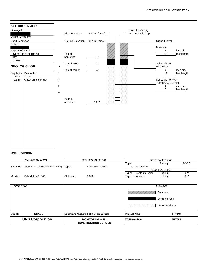| Geologist:<br>Drilling Company:<br><b>Boart Longyear</b><br>Driller:<br>Rig Make/Model:<br>Date:<br>11/19/2012<br>Depth(ft.)<br>$0 - 0.3$<br>$0.3 - 10$ | <b>DRILLING SUMMARY</b><br>Spyder Sonic drilling rig<br><b>GEOLOGIC LOG</b><br>D<br>E<br>Description<br>Top soil<br>P<br>Clayey silt to Silty clay<br>$\top$<br>$\mathsf H$ | <b>Riser Elevation</b><br><b>Ground Elevation</b><br>Top of<br>bentonite<br>Top of sand<br>Top of screen<br><b>Bottom</b><br>of screen | 320.16' (amsl)<br>317.13' (amsl)<br>3.0'<br>4.0'<br>$5.0^\circ$<br>10.0' | ProtectiveCasing<br>and Lockable Cap          | <b>Ground Level</b><br>Borehole<br>6<br>10<br>Schedule 40<br><b>PVC Riser</b><br>$\overline{2}$<br>8.0<br>Schedule 40 PVC<br>Screen, 0.010" slot.<br>$\overline{2}$<br>5 | inch dia.<br>feet length<br>inch dia.<br>feet length<br>inch dia.<br>feet length |
|---------------------------------------------------------------------------------------------------------------------------------------------------------|-----------------------------------------------------------------------------------------------------------------------------------------------------------------------------|----------------------------------------------------------------------------------------------------------------------------------------|--------------------------------------------------------------------------|-----------------------------------------------|--------------------------------------------------------------------------------------------------------------------------------------------------------------------------|----------------------------------------------------------------------------------|
| <b>WELL DESIGN</b>                                                                                                                                      |                                                                                                                                                                             |                                                                                                                                        |                                                                          |                                               |                                                                                                                                                                          |                                                                                  |
|                                                                                                                                                         | <b>CASING MATERIAL</b>                                                                                                                                                      |                                                                                                                                        | <b>SCREEN MATERIAL</b>                                                   |                                               | <b>FILTER MATERIAL</b>                                                                                                                                                   |                                                                                  |
| Surface:                                                                                                                                                | Steel Stick-up Protective Casing                                                                                                                                            | Type:                                                                                                                                  | Schedule 40 PVC                                                          | Type:<br>Global #5 sand                       | Setting:<br><b>SEAL MATERIAL</b>                                                                                                                                         | $4 - 10.0'$                                                                      |
| Monitor:                                                                                                                                                | Schedule 40 PVC                                                                                                                                                             | Slot Size:                                                                                                                             | 0.010"                                                                   | Bentonite chips<br>Type:<br>Type:<br>Concrete | Setting:<br>Setting:                                                                                                                                                     | $3 - 4'$<br>$0 - 3'$                                                             |
| <b>COMMENTS:</b>                                                                                                                                        |                                                                                                                                                                             |                                                                                                                                        |                                                                          |                                               | <b>LEGEND</b>                                                                                                                                                            |                                                                                  |
|                                                                                                                                                         |                                                                                                                                                                             |                                                                                                                                        |                                                                          |                                               | Concrete                                                                                                                                                                 |                                                                                  |
|                                                                                                                                                         |                                                                                                                                                                             |                                                                                                                                        |                                                                          |                                               | <b>Bentonite Seal</b>                                                                                                                                                    |                                                                                  |
|                                                                                                                                                         |                                                                                                                                                                             |                                                                                                                                        |                                                                          |                                               | Silica Sandpack                                                                                                                                                          |                                                                                  |
| <b>Client:</b>                                                                                                                                          | <b>USACE</b>                                                                                                                                                                |                                                                                                                                        | <b>Location: Niagara Falls Storage Site</b>                              | <b>Project No.:</b>                           |                                                                                                                                                                          | 11176781                                                                         |
|                                                                                                                                                         | <b>URS Corporation</b>                                                                                                                                                      |                                                                                                                                        | <b>MONITORING WELL</b><br><b>CONSTRUCTION DETAILS</b>                    | <b>Well Number:</b>                           |                                                                                                                                                                          | <b>MW952</b>                                                                     |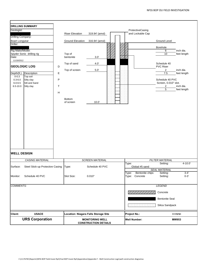| Geologist:<br>Drilling Company:<br>Boart Longyear<br>Driller:<br>Rig Make/Model:<br>Date:<br>11/19/2012<br>Depth(ft.)<br>$0 - 0.3$<br>$0.3 - 6.0$<br>$6.0 - 6.5$<br>$6.5 - 10.0$ | <b>DRILLING SUMMARY</b><br>Spyder Sonic drilling rig<br><b>GEOLOGIC LOG</b><br>Description<br>Top soil<br>Silty clay<br>Silt and Sand<br>Silty clay | D<br>E<br>$\mathsf{P}$<br>$\sf T$<br>H | <b>Riser Elevation</b><br><b>Ground Elevation</b><br>Top of<br>bentonite<br>Top of sand<br>Top of screen<br><b>Bottom</b><br>of screen | 319.94' (amsl)<br>316.94' (amsl)<br>3.0'<br>4.0'<br>5.0'<br>10.0' |                     | ProtectiveCasing<br>and Lockable Cap | <b>Ground Level</b><br>Borehole<br>6<br>10<br>Schedule 40<br><b>PVC Riser</b><br>$\overline{2}$<br>7.5<br>Schedule 40 PVC<br>Screen, 0.010" slot.<br>$\overline{2}$<br>$\overline{5}$ | inch dia.<br>feet length<br>inch dia.<br>feet length<br>inch dia.<br>feet length |
|----------------------------------------------------------------------------------------------------------------------------------------------------------------------------------|-----------------------------------------------------------------------------------------------------------------------------------------------------|----------------------------------------|----------------------------------------------------------------------------------------------------------------------------------------|-------------------------------------------------------------------|---------------------|--------------------------------------|---------------------------------------------------------------------------------------------------------------------------------------------------------------------------------------|----------------------------------------------------------------------------------|
| <b>WELL DESIGN</b>                                                                                                                                                               |                                                                                                                                                     |                                        |                                                                                                                                        |                                                                   |                     |                                      |                                                                                                                                                                                       |                                                                                  |
|                                                                                                                                                                                  | <b>CASING MATERIAL</b>                                                                                                                              |                                        |                                                                                                                                        | <b>SCREEN MATERIAL</b>                                            |                     |                                      | <b>FILTER MATERIAL</b>                                                                                                                                                                | $4 - 10.0$                                                                       |
| Surface:                                                                                                                                                                         | Steel Stick-up Protective Casing                                                                                                                    |                                        | Type:                                                                                                                                  | Schedule 40 PVC                                                   | Type:               | Global #5 sand                       | Setting:                                                                                                                                                                              |                                                                                  |
|                                                                                                                                                                                  |                                                                                                                                                     |                                        |                                                                                                                                        |                                                                   |                     |                                      | <b>SEAL MATERIAL</b>                                                                                                                                                                  |                                                                                  |
| Monitor:                                                                                                                                                                         | Schedule 40 PVC                                                                                                                                     |                                        | Slot Size:                                                                                                                             | 0.010"                                                            | Type:<br>Type:      | Bentonite chips<br>Concrete          | Setting:<br>Setting:                                                                                                                                                                  | $3 - 4'$<br>$0 - 3'$                                                             |
| <b>COMMENTS:</b>                                                                                                                                                                 |                                                                                                                                                     |                                        |                                                                                                                                        |                                                                   |                     |                                      | <b>LEGEND</b>                                                                                                                                                                         |                                                                                  |
|                                                                                                                                                                                  |                                                                                                                                                     |                                        |                                                                                                                                        |                                                                   |                     |                                      | Concrete<br><b>Bentonite Seal</b><br>Silica Sandpack                                                                                                                                  |                                                                                  |
| <b>Client:</b>                                                                                                                                                                   | <b>USACE</b>                                                                                                                                        |                                        | <b>Location: Niagara Falls Storage Site</b>                                                                                            |                                                                   | <b>Project No.:</b> |                                      |                                                                                                                                                                                       | 11176781                                                                         |
|                                                                                                                                                                                  | <b>URS Corporation</b>                                                                                                                              |                                        |                                                                                                                                        | <b>MONITORING WELL</b><br><b>CONSTRUCTION DETAILS</b>             | <b>Well Number:</b> |                                      |                                                                                                                                                                                       | <b>MW953</b>                                                                     |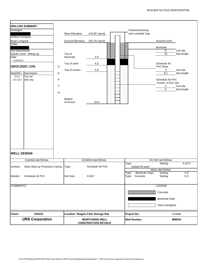|                                            | <b>DRILLING SUMMARY</b>          |           |                         |                                             |                     |                                      |                                         |             |
|--------------------------------------------|----------------------------------|-----------|-------------------------|---------------------------------------------|---------------------|--------------------------------------|-----------------------------------------|-------------|
| Geologist:                                 |                                  |           | <b>Riser Elevation</b>  | 319.85' (amsl)                              |                     | ProtectiveCasing<br>and Lockable Cap |                                         |             |
| <b>Drilling Company:</b><br>Boart Longyear |                                  |           | <b>Ground Elevation</b> | 316.78' (amsl)                              |                     |                                      | <b>Ground Level</b>                     |             |
| Driller:                                   |                                  |           |                         |                                             |                     |                                      |                                         |             |
| Rig Make/Model:                            |                                  |           |                         |                                             |                     |                                      | Borehole                                | inch dia.   |
|                                            | Spyder Sonic drilling rig        |           | Top of                  |                                             |                     |                                      | 6<br>10                                 | feet length |
| Date:                                      |                                  |           | bentonite               | 3.0'                                        |                     |                                      |                                         |             |
| 11/20/2012                                 |                                  |           | Top of sand             | 4.0'                                        |                     |                                      | Schedule 40                             |             |
|                                            | <b>GEOLOGIC LOG</b>              | D         | Top of screen           | $5.0^\circ$                                 |                     |                                      | <b>PVC Riser</b><br>$\overline{2}$      | inch dia.   |
| Depth(ft.)                                 | Description                      | E         |                         |                                             |                     |                                      | 8.1                                     | feet length |
| $0 - 0.3$                                  | Top soil                         |           |                         |                                             |                     |                                      |                                         |             |
| $0.3 - 10.0$                               | Silty clay                       | ${\sf P}$ |                         |                                             |                     |                                      | Schedule 40 PVC<br>Screen, 0.010" slot. |             |
|                                            |                                  | $\top$    |                         |                                             |                     |                                      | $\overline{c}$                          | inch dia.   |
|                                            |                                  |           |                         |                                             |                     |                                      | $\overline{5}$                          | feet length |
|                                            |                                  | H         |                         |                                             |                     |                                      |                                         |             |
|                                            |                                  |           | <b>Bottom</b>           |                                             |                     |                                      |                                         |             |
|                                            |                                  |           | of screen               | 10.0'                                       |                     |                                      |                                         |             |
|                                            |                                  |           |                         |                                             |                     |                                      |                                         |             |
|                                            |                                  |           |                         |                                             |                     |                                      |                                         |             |
|                                            |                                  |           |                         |                                             |                     |                                      |                                         |             |
|                                            |                                  |           |                         |                                             |                     |                                      |                                         |             |
|                                            |                                  |           |                         |                                             |                     |                                      |                                         |             |
|                                            |                                  |           |                         |                                             |                     |                                      |                                         |             |
|                                            |                                  |           |                         |                                             |                     |                                      |                                         |             |
|                                            |                                  |           |                         |                                             |                     |                                      |                                         |             |
|                                            |                                  |           |                         |                                             |                     |                                      |                                         |             |
|                                            |                                  |           |                         |                                             |                     |                                      |                                         |             |
|                                            |                                  |           |                         |                                             |                     |                                      |                                         |             |
|                                            |                                  |           |                         |                                             |                     |                                      |                                         |             |
| <b>WELL DESIGN</b>                         |                                  |           |                         |                                             |                     |                                      |                                         |             |
|                                            |                                  |           |                         |                                             |                     |                                      |                                         |             |
|                                            | <b>CASING MATERIAL</b>           |           |                         | <b>SCREEN MATERIAL</b>                      | Type:               |                                      | <b>FILTER MATERIAL</b><br>Setting:      | $4 - 10.0$  |
| Surface:                                   | Steel Stick-up Protective Casing |           | Type:                   | Schedule 40 PVC                             |                     | Global #5 sand                       |                                         |             |
|                                            |                                  |           |                         |                                             |                     |                                      | <b>SEAL MATERIAL</b>                    |             |
|                                            |                                  |           |                         |                                             | Type:               | Bentonite chips                      | Setting:                                | $3 - 4'$    |
| Monitor:                                   | Schedule 40 PVC                  |           | Slot Size:              | 0.010"                                      | Type:               | Concrete                             | Setting:                                | $0 - 3'$    |
|                                            |                                  |           |                         |                                             |                     |                                      |                                         |             |
| <b>COMMENTS:</b>                           |                                  |           |                         |                                             |                     |                                      | <b>LEGEND</b>                           |             |
|                                            |                                  |           |                         |                                             |                     |                                      |                                         |             |
|                                            |                                  |           |                         |                                             |                     |                                      | Concrete                                |             |
|                                            |                                  |           |                         |                                             |                     |                                      | <b>Bentonite Seal</b>                   |             |
|                                            |                                  |           |                         |                                             |                     |                                      |                                         |             |
|                                            |                                  |           |                         |                                             |                     |                                      | Silica Sandpack                         |             |
| <b>Client:</b>                             | <b>USACE</b>                     |           |                         |                                             |                     |                                      |                                         |             |
|                                            |                                  |           |                         | <b>Location: Niagara Falls Storage Site</b> | <b>Project No.:</b> |                                      |                                         | 11176781    |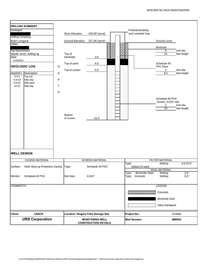| Geologist:<br><b>Drilling Company:</b><br>Boart Longyear<br>Driller:<br>Rig Make/Model:<br>Date:<br>11/20/2012<br>Depth(ft.)<br>$0 - 0.3$<br>$0.3 - 5.5$<br>$5.5 - 14$<br>$14 - 15$ | <b>DRILLING SUMMARY</b><br>Spyder Sonic drilling rig<br><b>GEOLOGIC LOG</b><br>Description<br>Top soil<br>Silty clay<br>Silty sand<br>Silty clay | D<br>E<br>P<br>$\mathsf T$<br>H | <b>Riser Elevation</b><br><b>Ground Elevation</b><br>Top of<br>bentonite<br>Top of sand<br>Top of screen<br><b>Bottom</b><br>of screen | 320.09' (amsl)<br>317.06' (amsl)<br>3.0'<br>4.0'<br>$5.0^\circ$<br>15.0' |                     | ProtectiveCasing<br>and Lockable Cap | <b>Ground Level</b><br>Borehole<br>6<br>$\overline{15}$<br>Schedule 40<br><b>PVC Riser</b><br>$\overline{2}$<br>8.0<br>Schedule 40 PVC<br>Screen, 0.010" slot.<br>$\overline{2}$<br>10 | inch dia.<br>feet length<br>inch dia.<br>feet length<br>inch dia.<br>feet length |
|-------------------------------------------------------------------------------------------------------------------------------------------------------------------------------------|--------------------------------------------------------------------------------------------------------------------------------------------------|---------------------------------|----------------------------------------------------------------------------------------------------------------------------------------|--------------------------------------------------------------------------|---------------------|--------------------------------------|----------------------------------------------------------------------------------------------------------------------------------------------------------------------------------------|----------------------------------------------------------------------------------|
| <b>WELL DESIGN</b>                                                                                                                                                                  |                                                                                                                                                  |                                 |                                                                                                                                        |                                                                          |                     |                                      |                                                                                                                                                                                        |                                                                                  |
|                                                                                                                                                                                     | <b>CASING MATERIAL</b>                                                                                                                           |                                 |                                                                                                                                        | <b>SCREEN MATERIAL</b>                                                   |                     |                                      | <b>FILTER MATERIAL</b>                                                                                                                                                                 |                                                                                  |
| Surface:                                                                                                                                                                            | Steel Stick-up Protective Casing                                                                                                                 |                                 | Type:                                                                                                                                  | Schedule 40 PVC                                                          | Type:               | Global #5 sand                       | Setting:<br><b>SEAL MATERIAL</b>                                                                                                                                                       | $4.0 - 15.0$                                                                     |
| Monitor:                                                                                                                                                                            | Schedule 40 PVC                                                                                                                                  |                                 | Slot Size:                                                                                                                             | 0.010"                                                                   | Type:<br>Type:      | Bentonite chips<br>Concrete          | Setting:<br>Setting:                                                                                                                                                                   | $3 - 4'$<br>$0 - 3'$                                                             |
| <b>COMMENTS:</b>                                                                                                                                                                    |                                                                                                                                                  |                                 |                                                                                                                                        |                                                                          |                     |                                      | <b>LEGEND</b>                                                                                                                                                                          |                                                                                  |
|                                                                                                                                                                                     |                                                                                                                                                  |                                 |                                                                                                                                        |                                                                          |                     | <b>De Telle De Celle (19</b>         | Concrete<br><b>Bentonite Seal</b><br>Silica Sandpack                                                                                                                                   |                                                                                  |
| <b>Client:</b>                                                                                                                                                                      | <b>USACE</b>                                                                                                                                     |                                 | <b>Location: Niagara Falls Storage Site</b>                                                                                            |                                                                          | <b>Project No.:</b> |                                      |                                                                                                                                                                                        | 11176781                                                                         |
|                                                                                                                                                                                     | <b>URS Corporation</b>                                                                                                                           |                                 |                                                                                                                                        | <b>MONITORING WELL</b><br><b>CONSTRUCTION DETAILS</b>                    |                     | <b>Well Number:</b>                  |                                                                                                                                                                                        | <b>MW955</b>                                                                     |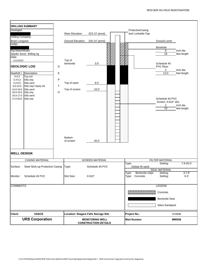|                                                                                                                           | <b>DRILLING SUMMARY</b>                                                                                                                |                                                                                |                                                       |                                      |                                                                                           |                                                      |
|---------------------------------------------------------------------------------------------------------------------------|----------------------------------------------------------------------------------------------------------------------------------------|--------------------------------------------------------------------------------|-------------------------------------------------------|--------------------------------------|-------------------------------------------------------------------------------------------|------------------------------------------------------|
| Geologist:                                                                                                                |                                                                                                                                        | <b>Riser Elevation</b>                                                         | 323.13' (amsl)                                        | ProtectiveCasing<br>and Lockable Cap |                                                                                           |                                                      |
| <b>Drilling Company:</b><br>Boart Longyear                                                                                |                                                                                                                                        | <b>Ground Elevation</b>                                                        | 320.14' (amsl)                                        |                                      | <b>Ground Level</b>                                                                       |                                                      |
| Driller:<br>Rig Make/Model:<br>Date:<br>11/12/2012                                                                        | Spyder Sonic drilling rig<br><b>GEOLOGIC LOG</b>                                                                                       | Top of<br>bentonite<br>D                                                       | 3.0'                                                  |                                      | Borehole<br>$\,6$<br>$\overline{20}$<br>Schedule 40<br><b>PVC Riser</b>                   | inch dia.<br>feet length                             |
| Depth(ft.)<br>$0 - 0.3$<br>$0.3 - 5.2$<br>$5.2 - 6.0$<br>$6.0 - 14.0$<br>14.0-16.0<br>16.0-16.5<br>16.5-17.0<br>17.0-20.0 | Description<br>Top soil<br>Silty clay<br>Silty sand<br>Silty clay/ clayey silt<br>Silty sand<br>Silty clay<br>Silty sand<br>Silty clay | E<br>P<br>Top of sand<br>T<br>Top of screen<br>H<br><b>Bottom</b><br>of screen | 8.0'<br>10.0'<br>20.0'                                |                                      | $\overline{2}$<br>13.0<br>Schedule 40 PVC<br>Screen, 0.010" slot.<br>$\overline{2}$<br>10 | inch dia.<br>feet length<br>inch dia.<br>feet length |
| <b>WELL DESIGN</b>                                                                                                        |                                                                                                                                        |                                                                                |                                                       |                                      |                                                                                           |                                                      |
|                                                                                                                           | <b>CASING MATERIAL</b>                                                                                                                 |                                                                                | <b>SCREEN MATERIAL</b>                                |                                      | <b>FILTER MATERIAL</b>                                                                    |                                                      |
| Surface:                                                                                                                  | Steel Stick-up Protective Casing                                                                                                       | Type:                                                                          | Schedule 40 PVC                                       | Type:<br>Global #5 sand              | Setting:<br><b>SEAL MATERIAL</b>                                                          | $7.9 - 20.0$                                         |
| Monitor:                                                                                                                  | Schedule 40 PVC                                                                                                                        | Slot Size:                                                                     | 0.010"                                                | Type:<br>Concrete<br>Type:           | Bentonite chips<br>Setting:<br>Setting:                                                   | $3 - 7.8'$<br>$0 - 3'$                               |
| <b>COMMENTS:</b>                                                                                                          |                                                                                                                                        |                                                                                |                                                       |                                      | <b>LEGEND</b>                                                                             |                                                      |
|                                                                                                                           |                                                                                                                                        |                                                                                |                                                       |                                      | Concrete                                                                                  |                                                      |
|                                                                                                                           |                                                                                                                                        |                                                                                |                                                       |                                      | <b>Bentonite Seal</b>                                                                     |                                                      |
|                                                                                                                           |                                                                                                                                        |                                                                                |                                                       |                                      | Silica Sandpack                                                                           |                                                      |
| <b>Client:</b>                                                                                                            | <b>USACE</b>                                                                                                                           |                                                                                | <b>Location: Niagara Falls Storage Site</b>           | <b>Project No.:</b>                  |                                                                                           | 11176781                                             |
|                                                                                                                           | <b>URS Corporation</b>                                                                                                                 |                                                                                | <b>MONITORING WELL</b><br><b>CONSTRUCTION DETAILS</b> | <b>Well Number:</b>                  |                                                                                           | <b>MW956</b>                                         |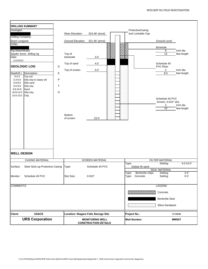|                                                                                                                | <b>DRILLING SUMMARY</b>                                                                                        |                                              |                                                       |                        |  |                     |                                      |                                                                                          |                                                      |
|----------------------------------------------------------------------------------------------------------------|----------------------------------------------------------------------------------------------------------------|----------------------------------------------|-------------------------------------------------------|------------------------|--|---------------------|--------------------------------------|------------------------------------------------------------------------------------------|------------------------------------------------------|
| Geologist:<br><b>Drilling Company:</b>                                                                         |                                                                                                                |                                              | <b>Riser Elevation</b>                                | 324.48' (amsl)         |  |                     | ProtectiveCasing<br>and Lockable Cap |                                                                                          |                                                      |
| Boart Longyear                                                                                                 |                                                                                                                |                                              | <b>Ground Elevation</b>                               | 321.46' (amsl)         |  |                     |                                      | <b>Ground Level</b>                                                                      |                                                      |
| Driller:<br>Rig Make/Model:                                                                                    |                                                                                                                |                                              |                                                       |                        |  |                     |                                      | Borehole<br>$\,6$                                                                        | inch dia.                                            |
| Spyder Sonic drilling rig<br>Date:<br>11/13/2012<br><b>GEOLOGIC LOG</b>                                        |                                                                                                                | D                                            | Top of<br>bentonite<br>Top of sand                    | 3.0'<br>4.0'           |  |                     |                                      | 15<br>Schedule 40<br><b>PVC Riser</b>                                                    | feet length                                          |
| Depth(ft.)<br>$0 - 0.3$<br>$0.3 - 5.8$<br>$5.8 - 8.0$<br>$8.0 - 9.8$<br>$9.8 - 10.8$<br>10.8-14.0<br>14.0-15.0 | Description<br>Top soil<br>Silty clay to clayey silt<br>Silty sand<br>Silty clay<br>Sand<br>Silty clay<br>Clay | $\mathsf E$<br>${\sf P}$<br>$\mathsf T$<br>H | Top of screen<br><b>Bottom</b><br>of screen           | 5.0'<br>15.0'          |  |                     |                                      | $\overline{2}$<br>8.0<br>Schedule 40 PVC<br>Screen, 0.010" slot.<br>$\overline{2}$<br>10 | inch dia.<br>feet length<br>inch dia.<br>feet length |
| <b>WELL DESIGN</b>                                                                                             |                                                                                                                |                                              |                                                       |                        |  |                     |                                      |                                                                                          |                                                      |
|                                                                                                                | <b>CASING MATERIAL</b>                                                                                         |                                              |                                                       | <b>SCREEN MATERIAL</b> |  |                     |                                      | <b>FILTER MATERIAL</b>                                                                   | $4.0 - 15.0'$                                        |
| Surface:                                                                                                       | Steel Stick-up Protective Casing                                                                               |                                              | Type:                                                 | Schedule 40 PVC        |  | Type:               | Global #5 sand                       | Setting:<br><b>SEAL MATERIAL</b>                                                         |                                                      |
| Monitor:                                                                                                       | Schedule 40 PVC                                                                                                |                                              | Slot Size:                                            | 0.010"                 |  | Type:<br>Type:      | Bentonite chips<br>Concrete          | Setting:<br>Setting:                                                                     | $3 - 4'$<br>$0 - 3'$                                 |
| <b>COMMENTS:</b>                                                                                               |                                                                                                                |                                              |                                                       |                        |  |                     |                                      | <b>LEGEND</b>                                                                            |                                                      |
|                                                                                                                |                                                                                                                |                                              |                                                       |                        |  |                     |                                      | Concrete                                                                                 |                                                      |
|                                                                                                                |                                                                                                                |                                              |                                                       |                        |  |                     |                                      | <b>Bentonite Seal</b>                                                                    |                                                      |
|                                                                                                                |                                                                                                                |                                              |                                                       |                        |  |                     |                                      | Silica Sandpack                                                                          |                                                      |
| <b>Client:</b>                                                                                                 | <b>USACE</b>                                                                                                   |                                              | Location: Niagara Falls Storage Site                  |                        |  | <b>Project No.:</b> |                                      |                                                                                          | 11176781                                             |
| <b>URS Corporation</b>                                                                                         |                                                                                                                |                                              | <b>MONITORING WELL</b><br><b>CONSTRUCTION DETAILS</b> |                        |  |                     | <b>Well Number:</b>                  |                                                                                          | <b>MW957</b>                                         |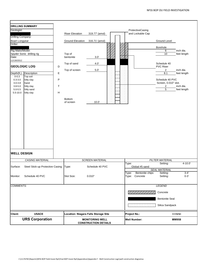| Geologist:<br>Drilling Company:<br>Boart Longyear<br>Driller:<br>Rig Make/Model:<br>Date:<br>11/130/2012 | <b>DRILLING SUMMARY</b><br>Spyder Sonic drilling rig<br><b>GEOLOGIC LOG</b>             | D                                                     | <b>Riser Elevation</b><br><b>Ground Elevation</b><br>Top of<br>bentonite<br>Top of sand | 319.77' (amsl)<br>316.71' (amsl)<br>3.0'<br>4.0' |  |                     | ProtectiveCasing<br>and Lockable Cap | <b>Ground Level</b><br>Borehole<br>6<br>10<br>Schedule 40<br><b>PVC Riser</b>                        | inch dia.<br>feet length                             |  |
|----------------------------------------------------------------------------------------------------------|-----------------------------------------------------------------------------------------|-------------------------------------------------------|-----------------------------------------------------------------------------------------|--------------------------------------------------|--|---------------------|--------------------------------------|------------------------------------------------------------------------------------------------------|------------------------------------------------------|--|
| Depth(ft.)<br>$0 - 0.3$<br>$0.3 - 3.0$<br>$3.0 - 3.8$<br>$3.8 - 5.0$<br>$5.0 - 5.5$<br>$5.5 - 10.0$      | Description<br>Top soil<br>Silty clay<br>Sand<br>Silty clay<br>Silty sand<br>Silty clay | E<br>${\sf P}$<br>$\top$<br>$\boldsymbol{\mathsf{H}}$ | Top of screen<br><b>Bottom</b><br>of screen                                             | $5.0^\circ$<br>10.0'                             |  |                     |                                      | $\overline{2}$<br>8.1<br>Schedule 40 PVC<br>Screen, 0.010" slot.<br>$\overline{c}$<br>$\overline{5}$ | inch dia.<br>feet length<br>inch dia.<br>feet length |  |
| <b>WELL DESIGN</b>                                                                                       |                                                                                         |                                                       |                                                                                         |                                                  |  |                     |                                      |                                                                                                      |                                                      |  |
|                                                                                                          | <b>CASING MATERIAL</b>                                                                  |                                                       |                                                                                         | <b>SCREEN MATERIAL</b>                           |  |                     |                                      | <b>FILTER MATERIAL</b>                                                                               |                                                      |  |
| Surface:                                                                                                 | Steel Stick-up Protective Casing                                                        |                                                       | Type:                                                                                   | Schedule 40 PVC                                  |  | Type:               | Global #5 sand                       | Setting:<br><b>SEAL MATERIAL</b>                                                                     | $4 - 10.0'$                                          |  |
| Monitor:                                                                                                 | Schedule 40 PVC                                                                         |                                                       | Slot Size:                                                                              | 0.010"                                           |  | Type:<br>Type:      | Bentonite chips<br>Concrete          | Setting:<br>Setting:                                                                                 | $3 - 4'$<br>$0 - 3'$                                 |  |
| <b>COMMENTS:</b>                                                                                         |                                                                                         |                                                       |                                                                                         |                                                  |  |                     |                                      | <b>LEGEND</b>                                                                                        |                                                      |  |
|                                                                                                          |                                                                                         |                                                       |                                                                                         |                                                  |  |                     |                                      | Concrete<br><b>Bentonite Seal</b><br>Silica Sandpack                                                 |                                                      |  |
| <b>Client:</b>                                                                                           | <b>USACE</b>                                                                            |                                                       | <b>Location: Niagara Falls Storage Site</b>                                             |                                                  |  | <b>Project No.:</b> |                                      |                                                                                                      | 11176781                                             |  |
| <b>URS Corporation</b>                                                                                   |                                                                                         |                                                       | <b>MONITORING WELL</b><br><b>CONSTRUCTION DETAILS</b>                                   |                                                  |  | <b>Well Number:</b> |                                      | <b>MW958</b>                                                                                         |                                                      |  |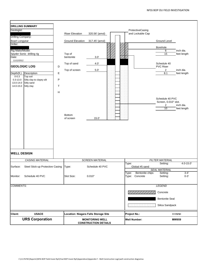|                                                     | <b>DRILLING SUMMARY</b>                                           |                     |                                                       |                        |  |                     |                                      |                                                                 |                          |
|-----------------------------------------------------|-------------------------------------------------------------------|---------------------|-------------------------------------------------------|------------------------|--|---------------------|--------------------------------------|-----------------------------------------------------------------|--------------------------|
| Geologist:                                          |                                                                   |                     | <b>Riser Elevation</b>                                | 320.56' (amsl)         |  |                     | ProtectiveCasing<br>and Lockable Cap |                                                                 |                          |
| <b>Drilling Company:</b>                            |                                                                   |                     |                                                       |                        |  |                     |                                      |                                                                 |                          |
| Boart Longyear<br>Driller:                          |                                                                   |                     | <b>Ground Elevation</b>                               | 317.45' (amsl)         |  |                     |                                      | <b>Ground Level</b>                                             |                          |
|                                                     |                                                                   |                     |                                                       |                        |  |                     |                                      | Borehole                                                        |                          |
| Rig Make/Model:                                     |                                                                   |                     |                                                       |                        |  |                     |                                      | $\,6$                                                           | inch dia.                |
| Date:                                               | Spyder Sonic drilling rig                                         |                     | Top of<br>bentonite                                   | 3.0'                   |  |                     |                                      | $\overline{15}$                                                 | feet length              |
| 11/12/2012                                          |                                                                   |                     |                                                       |                        |  |                     |                                      |                                                                 |                          |
| <b>GEOLOGIC LOG</b><br>D                            |                                                                   |                     | Top of sand                                           | 4.0'                   |  |                     |                                      | Schedule 40<br><b>PVC Riser</b>                                 |                          |
| Depth(ft.)                                          | Description                                                       | $\mathsf E$         | Top of screen                                         | 5.0'                   |  |                     |                                      | $\overline{2}$<br>8.1                                           | inch dia.<br>feet length |
| $0 - 0.3$<br>$0.3 - 13.0$<br>13.0-14.0<br>14.0-15.0 | Top soil<br>Silty clay to clayey silt<br>Silty sand<br>Silty clay | ${\sf P}$<br>$\top$ |                                                       |                        |  |                     |                                      |                                                                 |                          |
| <b>WELL DESIGN</b>                                  |                                                                   | H                   | <b>Bottom</b><br>of screen                            | 15.0'                  |  |                     |                                      | Schedule 40 PVC<br>Screen, 0.010" slot.<br>$\overline{2}$<br>10 | inch dia.<br>feet length |
|                                                     |                                                                   |                     |                                                       |                        |  |                     |                                      |                                                                 |                          |
|                                                     | <b>CASING MATERIAL</b>                                            |                     |                                                       | <b>SCREEN MATERIAL</b> |  | Type:               |                                      | <b>FILTER MATERIAL</b><br>Setting:                              | $4.0 - 15.0$             |
| Surface:                                            | Steel Stick-up Protective Casing                                  |                     | Type:                                                 | Schedule 40 PVC        |  |                     | Global #5 sand                       |                                                                 |                          |
|                                                     |                                                                   |                     |                                                       |                        |  |                     |                                      | <b>SEAL MATERIAL</b>                                            |                          |
| Monitor:                                            | Schedule 40 PVC                                                   |                     | Slot Size:                                            | 0.010"                 |  | Type:<br>Type:      | Bentonite chips<br>Concrete          | Setting:<br>Setting:                                            | $3 - 4'$<br>$0 - 3'$     |
| <b>COMMENTS:</b>                                    |                                                                   |                     |                                                       |                        |  |                     |                                      | <b>LEGEND</b>                                                   |                          |
|                                                     |                                                                   |                     |                                                       |                        |  |                     |                                      | Concrete                                                        |                          |
|                                                     |                                                                   |                     |                                                       |                        |  |                     |                                      | <b>Bentonite Seal</b>                                           |                          |
|                                                     |                                                                   |                     |                                                       |                        |  |                     |                                      | Silica Sandpack                                                 |                          |
| <b>Client:</b>                                      | <b>USACE</b>                                                      |                     | <b>Location: Niagara Falls Storage Site</b>           |                        |  | <b>Project No.:</b> |                                      |                                                                 | 11176781                 |
| <b>URS Corporation</b>                              |                                                                   |                     | <b>MONITORING WELL</b><br><b>CONSTRUCTION DETAILS</b> |                        |  |                     | <b>Well Number:</b>                  |                                                                 | <b>MW959</b>             |